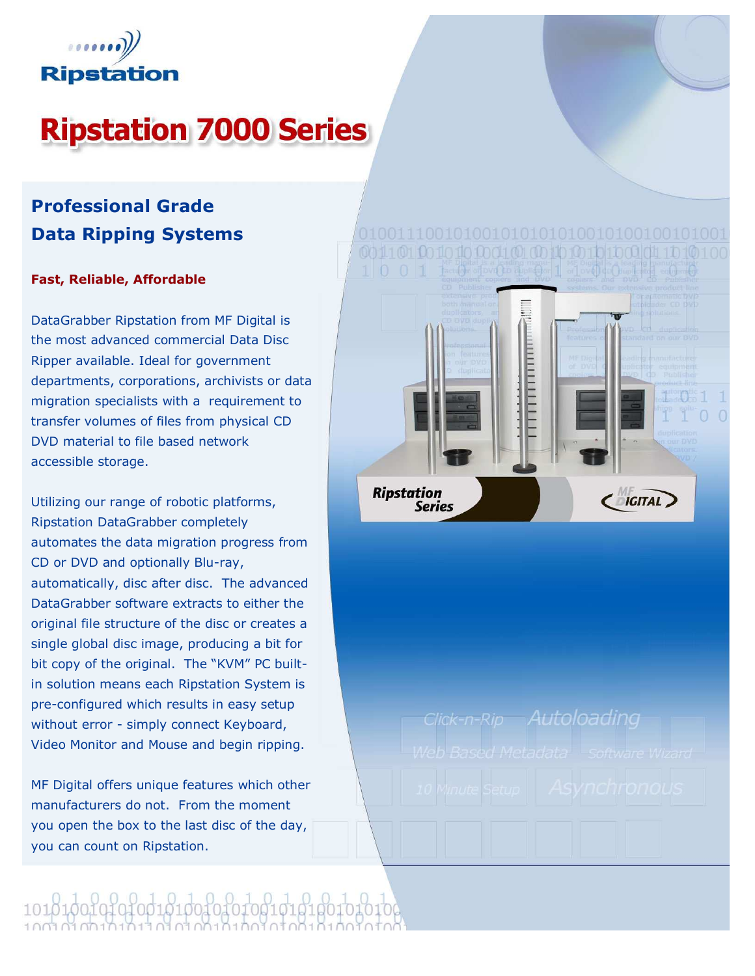

# **Ripstation 7000 Series**

### Professional Grade Data Ripping Systems

### Fast, Reliable, Affordable

DataGrabber Ripstation from MF Digital is the most advanced commercial Data Disc Ripper available. Ideal for government departments, corporations, archivists or data migration specialists with a requirement to transfer volumes of files from physical CD DVD material to file based network accessible storage.

Utilizing our range of robotic platforms, Ripstation DataGrabber completely automates the data migration progress from CD or DVD and optionally Blu-ray, automatically, disc after disc. The advanced DataGrabber software extracts to either the original file structure of the disc or creates a single global disc image, producing a bit for bit copy of the original. The "KVM" PC builtin solution means each Ripstation System is pre-configured which results in easy setup without error - simply connect Keyboard, Video Monitor and Mouse and begin ripping.

MF Digital offers unique features which other manufacturers do not. From the moment you open the box to the last disc of the day, you can count on Ripstation.



Click-n-Rip Autoloading